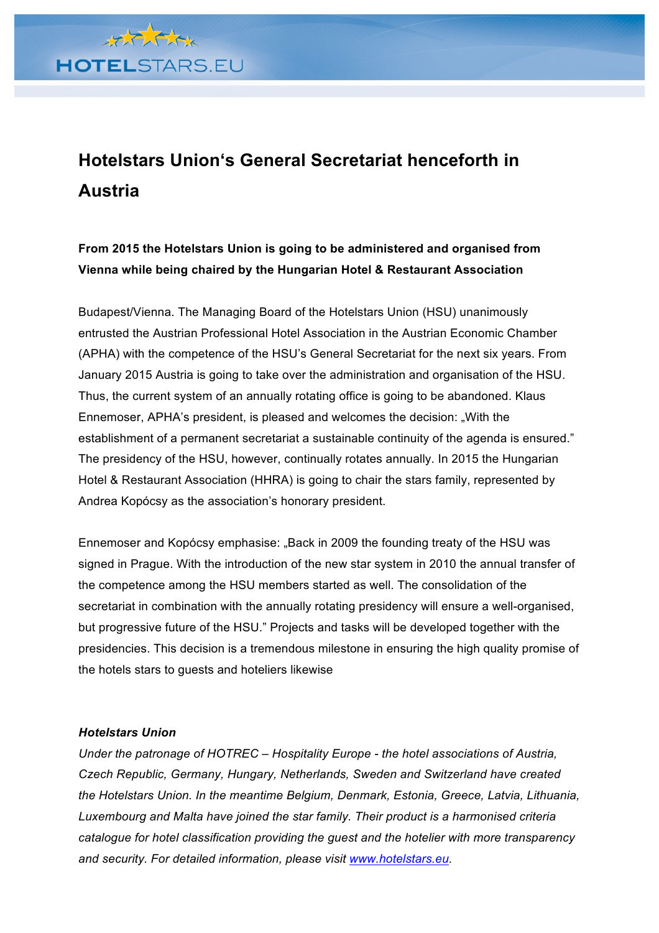

## **Hotelstars Union's General Secretariat henceforth in Austria**

## **From 2015 the Hotelstars Union is going to be administered and organised from Vienna while being chaired by the Hungarian Hotel & Restaurant Association**

Budapest/Vienna. The Managing Board of the Hotelstars Union (HSU) unanimously entrusted the Austrian Professional Hotel Association in the Austrian Economic Chamber (APHA) with the competence of the HSU's General Secretariat for the next six years. From January 2015 Austria is going to take over the administration and organisation of the HSU. Thus, the current system of an annually rotating office is going to be abandoned. Klaus Ennemoser, APHA's president, is pleased and welcomes the decision: "With the establishment of a permanent secretariat a sustainable continuity of the agenda is ensured." The presidency of the HSU, however, continually rotates annually. In 2015 the Hungarian Hotel & Restaurant Association (HHRA) is going to chair the stars family, represented by Andrea Kopócsy as the association's honorary president.

Ennemoser and Kopócsy emphasise: "Back in 2009 the founding treaty of the HSU was signed in Prague. With the introduction of the new star system in 2010 the annual transfer of the competence among the HSU members started as well. The consolidation of the secretariat in combination with the annually rotating presidency will ensure a well-organised, but progressive future of the HSU." Projects and tasks will be developed together with the presidencies. This decision is a tremendous milestone in ensuring the high quality promise of the hotels stars to guests and hoteliers likewise

## *Hotelstars Union*

*Under the patronage of HOTREC – Hospitality Europe - the hotel associations of Austria, Czech Republic, Germany, Hungary, Netherlands, Sweden and Switzerland have created the Hotelstars Union. In the meantime Belgium, Denmark, Estonia, Greece, Latvia, Lithuania, Luxembourg and Malta have joined the star family. Their product is a harmonised criteria catalogue for hotel classification providing the guest and the hotelier with more transparency and security. For detailed information, please visit www.hotelstars.eu.*